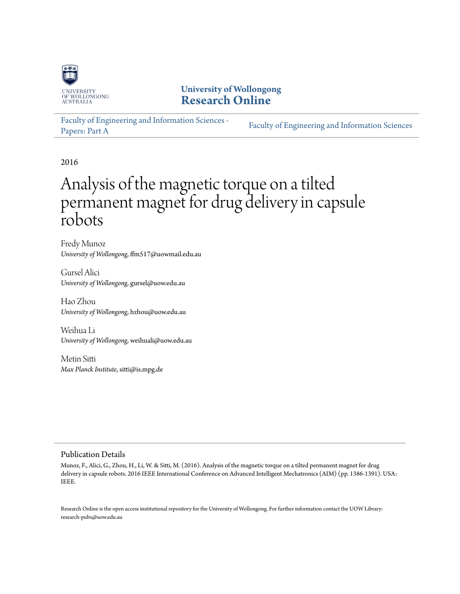

## **University of Wollongong [Research Online](http://ro.uow.edu.au)**

[Faculty of Engineering and Information Sciences -](http://ro.uow.edu.au/eispapers) [Papers: Part A](http://ro.uow.edu.au/eispapers) [Faculty of Engineering and Information Sciences](http://ro.uow.edu.au/eis)

2016

# Analysis of the magnetic torque on a tilted permanent magnet for drug delivery in capsule robots

Fredy Munoz *University of Wollongong*, ffm517@uowmail.edu.au

Gursel Alici *University of Wollongong*, gursel@uow.edu.au

Hao Zhou *University of Wollongong*, hzhou@uow.edu.au

Weihua Li *University of Wollongong*, weihuali@uow.edu.au

Metin Sitti *Max Planck Institute*, sitti@is.mpg.de

## Publication Details

Munoz, F., Alici, G., Zhou, H., Li, W. & Sitti, M. (2016). Analysis of the magnetic torque on a tilted permanent magnet for drug delivery in capsule robots. 2016 IEEE International Conference on Advanced Intelligent Mechatronics (AIM) (pp. 1386-1391). USA: IEEE.

Research Online is the open access institutional repository for the University of Wollongong. For further information contact the UOW Library: research-pubs@uow.edu.au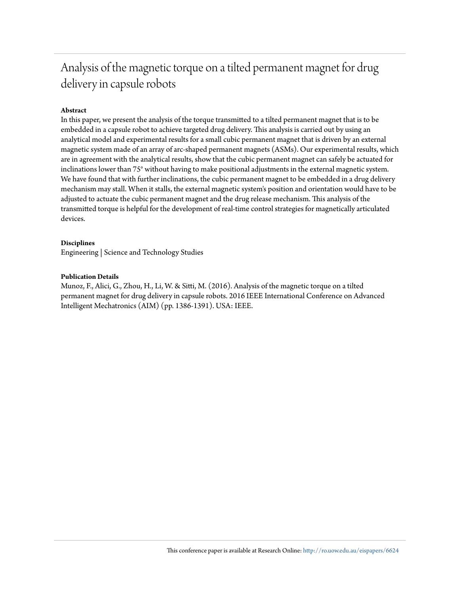# Analysis of the magnetic torque on a tilted permanent magnet for drug delivery in capsule robots

## **Abstract**

In this paper, we present the analysis of the torque transmitted to a tilted permanent magnet that is to be embedded in a capsule robot to achieve targeted drug delivery. This analysis is carried out by using an analytical model and experimental results for a small cubic permanent magnet that is driven by an external magnetic system made of an array of arc-shaped permanent magnets (ASMs). Our experimental results, which are in agreement with the analytical results, show that the cubic permanent magnet can safely be actuated for inclinations lower than 75° without having to make positional adjustments in the external magnetic system. We have found that with further inclinations, the cubic permanent magnet to be embedded in a drug delivery mechanism may stall. When it stalls, the external magnetic system's position and orientation would have to be adjusted to actuate the cubic permanent magnet and the drug release mechanism. This analysis of the transmitted torque is helpful for the development of real-time control strategies for magnetically articulated devices.

### **Disciplines**

Engineering | Science and Technology Studies

### **Publication Details**

Munoz, F., Alici, G., Zhou, H., Li, W. & Sitti, M. (2016). Analysis of the magnetic torque on a tilted permanent magnet for drug delivery in capsule robots. 2016 IEEE International Conference on Advanced Intelligent Mechatronics (AIM) (pp. 1386-1391). USA: IEEE.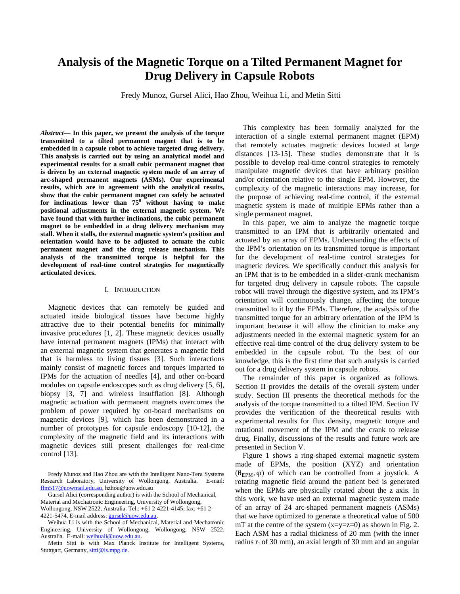## **Analysis of the Magnetic Torque on a Tilted Permanent Magnet for Drug Delivery in Capsule Robots**

Fredy Munoz, Gursel Alici, Hao Zhou, Weihua Li, and Metin Sitti

*Abstract***— In this paper, we present the analysis of the torque transmitted to a tilted permanent magnet that is to be embedded in a capsule robot to achieve targeted drug delivery. This analysis is carried out by using an analytical model and experimental results for a small cubic permanent magnet that is driven by an external magnetic system made of an array of arc-shaped permanent magnets (ASMs). Our experimental results, which are in agreement with the analytical results, show that the cubic permanent magnet can safely be actuated for inclinations lower than 75<sup>0</sup> without having to make positional adjustments in the external magnetic system. We have found that with further inclinations, the cubic permanent magnet to be embedded in a drug delivery mechanism may stall. When it stalls, the external magnetic system's position and orientation would have to be adjusted to actuate the cubic permanent magnet and the drug release mechanism. This analysis of the transmitted torque is helpful for the development of real-time control strategies for magnetically articulated devices.**

#### I. INTRODUCTION

Magnetic devices that can remotely be guided and actuated inside biological tissues have become highly attractive due to their potential benefits for minimally invasive procedures [\[1,](#page-7-0) [2\]](#page-7-1). These magnetic devices usually have internal permanent magnets (IPMs) that interact with an external magnetic system that generates a magnetic field that is harmless to living tissues [\[3\]](#page-7-2). Such interactions mainly consist of magnetic forces and torques imparted to IPMs for the actuation of needles [\[4\]](#page-7-3), and other on-board modules on capsule endoscopes such as drug delivery [\[5,](#page-7-4) [6\]](#page-7-5), biopsy [\[3,](#page-7-2) [7\]](#page-7-6) and wireless insufflation [\[8\]](#page-7-7). Although magnetic actuation with permanent magnets overcomes the problem of power required by on-board mechanisms on magnetic devices [\[9\]](#page-7-8), which has been demonstrated in a number of prototypes for capsule endoscopy [\[10-12\]](#page-7-9), the complexity of the magnetic field and its interactions with magnetic devices still present challenges for real-time control [\[13\]](#page-7-10).

This complexity has been formally analyzed for the interaction of a single external permanent magnet (EPM) that remotely actuates magnetic devices located at large distances [\[13-15\]](#page-7-10). These studies demonstrate that it is possible to develop real-time control strategies to remotely manipulate magnetic devices that have arbitrary position and/or orientation relative to the single EPM. However, the complexity of the magnetic interactions may increase, for the purpose of achieving real-time control, if the external magnetic system is made of multiple EPMs rather than a single permanent magnet.

In this paper, we aim to analyze the magnetic torque transmitted to an IPM that is arbitrarily orientated and actuated by an array of EPMs. Understanding the effects of the IPM's orientation on its transmitted torque is important for the development of real-time control strategies for magnetic devices. We specifically conduct this analysis for an IPM that is to be embedded in a slider-crank mechanism for targeted drug delivery in capsule robots. The capsule robot will travel through the digestive system, and its IPM's orientation will continuously change, affecting the torque transmitted to it by the EPMs. Therefore, the analysis of the transmitted torque for an arbitrary orientation of the IPM is important because it will allow the clinician to make any adjustments needed in the external magnetic system for an effective real-time control of the drug delivery system to be embedded in the capsule robot. To the best of our knowledge, this is the first time that such analysis is carried out for a drug delivery system in capsule robots.

The remainder of this paper is organized as follows. Section II provides the details of the overall system under study. Section III presents the theoretical methods for the analysis of the torque transmitted to a tilted IPM. Section IV provides the verification of the theoretical results with experimental results for flux density, magnetic torque and rotational movement of the IPM and the crank to release drug. Finally, discussions of the results and future work are presented in Section V.

Figure 1 shows a ring-shaped external magnetic system made of EPMs, the position (XYZ) and orientation  $(\theta_{EPM}, \varphi)$  of which can be controlled from a joystick. A rotating magnetic field around the patient bed is generated when the EPMs are physically rotated about the z axis. In this work, we have used an external magnetic system made of an array of 24 arc-shaped permanent magnets (ASMs) that we have optimized to generate a theoretical value of 500 mT at the centre of the system  $(x=y=z=0)$  as shown in Fig. 2. Each ASM has a radial thickness of 20 mm (with the inner radius  $r_1$  of 30 mm), an axial length of 30 mm and an angular

Fredy Munoz and Hao Zhou are with the Intelligent Nano-Tera Systems Research Laboratory, University of Wollongong, Australia. E-mail: [ffm517@uowmail.edu.au,](mailto:ffm517@uowmail.edu.au) hzhou@uow.edu.au

Gursel Alici (corresponding author) is with the School of Mechanical, Material and Mechatronic Engineering, University of Wollongong, Wollongong, NSW 2522, Australia. Tel.: +61 2-4221-4145; fax: +61 2- 4221-5474, E-mail address[: gursel@uow.edu.au.](mailto:gursel@uow.edu.au)

Weihua Li is with the School of Mechanical, Material and Mechatronic Engineering, University of Wollongong, Wollongong, NSW 2522, Australia. E-mail: [weihuali@uow.edu.au.](mailto:weihuali@uow.edu.au)

Metin Sitti is with Max Planck Institute for Intelligent Systems, Stuttgart, Germany[, sitti@is.mpg.de.](mailto:sitti@is.mpg.de)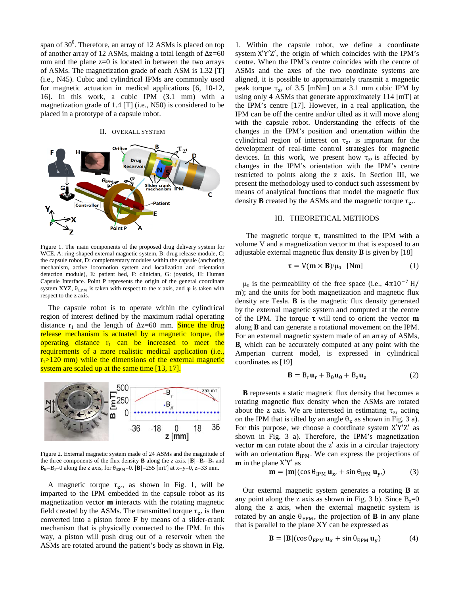span of  $30^0$ . Therefore, an array of 12 ASMs is placed on top of another array of 12 ASMs, making a total length of ∆z**=**60 mm and the plane  $z=0$  is located in between the two arrays of ASMs. The magnetization grade of each ASM is 1.32 [T] (i.e., N45). Cubic and cylindrical IPMs are commonly used for magnetic actuation in medical applications [\[6,](#page-7-5) [10-12,](#page-7-9)  [16\]](#page-7-11). In this work, a cubic IPM (3.1 mm) with a magnetization grade of 1.4 [T] (i.e., N50) is considered to be placed in a prototype of a capsule robot.

#### II. OVERALL SYSTEM



Figure 1. The main components of the proposed drug delivery system for WCE. A: ring-shaped external magnetic system, B: drug release module, C: the capsule robot, D: complementary modules within the capsule (anchoring mechanism, active locomotion system and localization and orientation detection module), E: patient bed, F: clinician, G: joystick, H: Human Capsule Interface. Point P represents the origin of the general coordinate system XYZ,  $\theta_{EPM}$  is taken with respect to the x axis, and  $\varphi$  is taken with respect to the z axis.

The capsule robot is to operate within the cylindrical region of interest defined by the maximum radial operating distance r1 and the length of ∆z**=**60 mm. Since the drug release mechanism is actuated by a magnetic torque, the operating distance  $r_1$  can be increased to meet the requirements of a more realistic medical application (i.e.,  $r_1$ >120 mm) while the dimensions of the external magnetic system are scaled up at the same time [\[13,](#page-7-10) [17\]](#page-7-12).



Figure 2. External magnetic system made of 24 ASMs and the magnitude of the three components of the flux density **B** along the z axis.  $|B|=B_r=B_x$  and  $B_{\theta} = B_{z} = 0$  along the z axis, for  $\theta_{EPM} = 0$ .  $|\mathbf{B}| = 255$  [mT] at x=y=0, z=33 mm.

A magnetic torque  $\tau_{z}$ , as shown in Fig. 1, will be imparted to the IPM embedded in the capsule robot as its magnetization vector **m** interacts with the rotating magnetic field created by the ASMs. The transmitted torque  $\tau_{z}$  is then converted into a piston force **F** by means of a slider-crank mechanism that is physically connected to the IPM. In this way, a piston will push drug out of a reservoir when the ASMs are rotated around the patient's body as shown in Fig.

1. Within the capsule robot, we define a coordinate system X′Y′Z′, the origin of which coincides with the IPM's centre. When the IPM's centre coincides with the centre of ASMs and the axes of the two coordinate systems are aligned, it is possible to approximately transmit a magnetic peak torque  $\tau_{z}$  of 3.5 [mNm] on a 3.1 mm cubic IPM by using only 4 ASMs that generate approximately 114 [mT] at the IPM's centre [\[17\]](#page-7-12). However, in a real application, the IPM can be off the centre and/or tilted as it will move along with the capsule robot. Understanding the effects of the changes in the IPM's position and orientation within the cylindrical region of interest on  $\tau_{z}$  is important for the development of real-time control strategies for magnetic devices. In this work, we present how  $\tau_{z}$  is affected by changes in the IPM's orientation with the IPM's centre restricted to points along the z axis. In Section III, we present the methodology used to conduct such assessment by means of analytical functions that model the magnetic flux density **B** created by the ASMs and the magnetic torque  $\tau_{z}$ .

#### III. THEORETICAL METHODS

The magnetic torque  $\tau$ , transmitted to the IPM with a volume  $V$  and a magnetization vector  $m$  that is exposed to an adjustable external magnetic flux density  $\bf{B}$  is given by [\[18\]](#page-7-13)

$$
\tau = V(m \times B)/\mu_0 \quad \text{[Nm]} \tag{1}
$$

 $μ<sub>0</sub>$  is the permeability of the free space (i.e.,  $4π10<sup>-7</sup>$  H/ m); and the units for both magnetization and magnetic flux density are Tesla.  $\bf{B}$  is the magnetic flux density generated by the external magnetic system and computed at the centre of the IPM. The torque  $\tau$  will tend to orient the vector **m** along **B** and can generate a rotational movement on the IPM. For an external magnetic system made of an array of ASMs, **B**, which can be accurately computed at any point with the Amperian current model, is expressed in cylindrical coordinates as [\[19\]](#page-7-14)

$$
\mathbf{B} = B_{\mathbf{r}} \mathbf{u}_{\mathbf{r}} + B_{\theta} \mathbf{u}_{\theta} + B_{z} \mathbf{u}_{z} \tag{2}
$$

**B** represents a static magnetic flux density that becomes a rotating magnetic flux density when the ASMs are rotated about the z axis. We are interested in estimating  $\tau_{z}$ , acting on the IPM that is tilted by an angle  $\theta_z$  as shown in Fig. 3 a). For this purpose, we choose a coordinate system X′Y′Z′ as shown in Fig. 3 a). Therefore, the IPM's magnetization vector **m** can rotate about the z′ axis in a circular trajectory with an orientation  $\theta_{IPM}$ . We can express the projections of **m** in the plane X'Y' as<br>**m** =  $|\mathbf{m}|$ (*d*)

$$
\mathbf{m} = |\mathbf{m}|(\cos \theta_{IPM} \, \mathbf{u}_{\mathbf{x}'} + \sin \theta_{IPM} \, \mathbf{u}_{\mathbf{y}'}) \tag{3}
$$

Our external magnetic system generates a rotating **B** at any point along the z axis as shown in Fig. 3 b). Since  $B_z=0$ along the z axis, when the external magnetic system is rotated by an angle  $\theta_{\text{EPM}}$ , the projection of **B** in any plane that is parallel to the plane XY can be expressed as

$$
\mathbf{B} = |\mathbf{B}|(\cos \theta_{\rm EPM} \, \mathbf{u}_{\mathbf{x}} + \sin \theta_{\rm EPM} \, \mathbf{u}_{\mathbf{y}}) \tag{4}
$$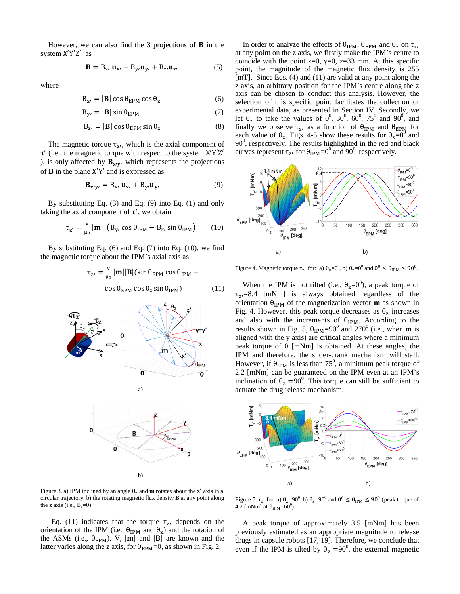However, we can also find the 3 projections of **B** in the system X′Y′Z′ as

$$
\mathbf{B} = \mathbf{B}_{\mathbf{x}'} \, \mathbf{u}_{\mathbf{x}'} + \mathbf{B}_{\mathbf{y}'} \mathbf{u}_{\mathbf{y}'} + \mathbf{B}_{\mathbf{z}'} \mathbf{u}_{\mathbf{z}'} \tag{5}
$$

where

$$
B_{x'} = |\mathbf{B}| \cos \theta_{EPM} \cos \theta_z \tag{6}
$$

$$
B_{y'} = |\mathbf{B}| \sin \theta_{EPM} \tag{7}
$$

$$
B_{z'} = |\mathbf{B}| \cos \theta_{EPM} \sin \theta_z \tag{8}
$$

The magnetic torque  $\tau_{z}$ , which is the axial component of  $\tau'$  (i.e., the magnetic torque with respect to the system  $X'Y'Z'$ ), is only affected by  $\mathbf{B}_{x/y}$ , which represents the projections of **B** in the plane X′Y′ and is expressed as

$$
\mathbf{B}_{\mathbf{x}/\mathbf{y}'} = \mathbf{B}_{\mathbf{x}'} \mathbf{u}_{\mathbf{x}'} + \mathbf{B}_{\mathbf{y}'} \mathbf{u}_{\mathbf{y}'} \tag{9}
$$

By substituting Eq.  $(3)$  and Eq.  $(9)$  into Eq.  $(1)$  and only taking the axial component of  $\tau'$ , we obtain

$$
\tau_{z'} = \frac{v}{\mu_0} |\mathbf{m}| \left( B_{y'} \cos \theta_{IPM} - B_{x'} \sin \theta_{IPM} \right) \qquad (10)
$$

By substituting Eq. (6) and Eq. (7) into Eq. (10), we find the magnetic torque about the IPM's axial axis as

$$
\tau_{z\prime} = \frac{V}{\mu_0} |\mathbf{m}| |\mathbf{B}| (\sin \theta_{\rm EPM} \cos \theta_{\rm IPM} -
$$
  

$$
\cos \theta_{\rm NPM} \cos \theta_{\rm NPM} (\cos \theta_{\rm NPM})
$$
 (11)



In order to analyze the effects of  $\theta_{IPM}$ ,  $\theta_{EPM}$  and  $\theta_{Z}$  on  $\tau_{Z'}$ at any point on the z axis, we firstly make the IPM's centre to coincide with the point  $x=0$ ,  $y=0$ ,  $z=33$  mm. At this specific point, the magnitude of the magnetic flux density is 255 [mT]. Since Eqs. (4) and (11) are valid at any point along the z axis, an arbitrary position for the IPM's centre along the z axis can be chosen to conduct this analysis. However, the selection of this specific point facilitates the collection of experimental data, as presented in Section IV. Secondly, we let  $\theta_z$  to take the values of  $0^0$ ,  $30^0$ ,  $60^0$ ,  $75^0$  and  $90^0$ , and finally we observe  $\tau_{z}$  as a function of  $\theta_{IPM}$  and  $\theta_{EPM}$  for each value of  $\theta_z$ . Figs. 4-5 show these results for  $\theta_z=0^0$  and  $90^\circ$ , respectively. The results highlighted in the red and black curves represent  $\tau_{z}$ , for  $\theta_{IPM} = 0^{\degree}$  and 90<sup>°</sup>, respectively.



Figure 4. Magnetic torque  $\tau_{z}$ , for: a)  $\theta_z = 0^0$ , b)  $\theta_z = 0^0$  and  $0^0 \le \theta_{IPM} \le 90^0$ .

When the IPM is not tilted (i.e.,  $\theta_z = 0^0$ ), a peak torque of  $\tau_{z}$ =8.4 [mNm] is always obtained regardless of the orientation  $\theta_{IPM}$  of the magnetization vector **m** as shown in Fig. 4. However, this peak torque decreases as  $\theta$ <sub>z</sub> increases and also with the increments of  $\theta_{IPM}$ . According to the results shown in Fig. 5,  $\theta_{IPM}$ =90<sup>0</sup> and 270<sup>0</sup> (i.e., when **m** is aligned with the y axis) are critical angles where a minimum peak torque of 0 [mNm] is obtained. At these angles, the IPM and therefore, the slider-crank mechanism will stall. However, if  $\theta_{IPM}$  is less than 75<sup>0</sup>, a minimum peak torque of 2.2 [mNm] can be guaranteed on the IPM even at an IPM's inclination of  $\theta_z = 90^\circ$ . This torque can still be sufficient to actuate the drug release mechanism.



Figure 3. a) IPM inclined by an angle  $\theta$ <sub>z</sub> and **m** rotates about the z' axis in a circular trajectory, b) the rotating magnetic flux density **B** at any point along the z axis (i.e.,  $B_z=0$ ).

Eq. (11) indicates that the torque  $\tau_{z}$ , depends on the orientation of the IPM (i.e.,  $\theta_{IPM}$  and  $\theta_z$ ) and the rotation of the ASMs (i.e.,  $\theta_{EPM}$ ). V, |m| and |B| are known and the latter varies along the z axis, for  $\theta_{EPM}=0$ , as shown in Fig. 2.

Figure 5.  $\tau_{z}$  for a)  $\theta_z = 90^\circ$ , b)  $\theta_z = 90^\circ$  and  $0^\circ \le \theta_{IPM} \le 90^\circ$  (peak torque of 4.2 [mNm] at θ<sub>IPM</sub>=60<sup>0</sup>).

A peak torque of approximately 3.5 [mNm] has been previously estimated as an appropriate magnitude to release drugs in capsule robots [\[17,](#page-7-12) [19\]](#page-7-14). Therefore, we conclude that even if the IPM is tilted by  $\theta_z = 90^\circ$ , the external magnetic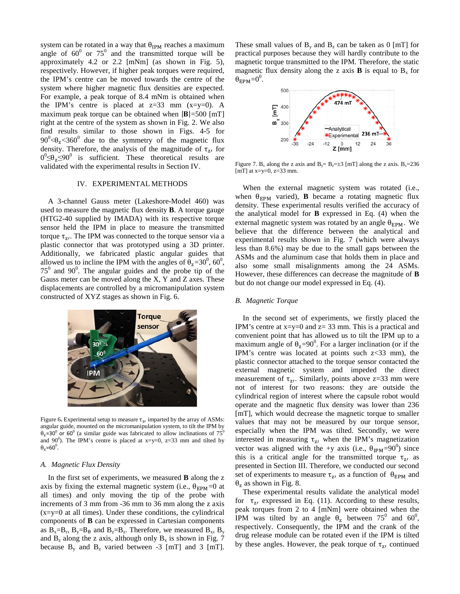system can be rotated in a way that  $\theta_{IPM}$  reaches a maximum angle of  $60^0$  or  $75^0$  and the transmitted torque will be approximately 4.2 or 2.2 [mNm] (as shown in Fig. 5), respectively. However, if higher peak torques were required, the IPM's centre can be moved towards the centre of the system where higher magnetic flux densities are expected. For example, a peak torque of 8.4 mNm is obtained when the IPM's centre is placed at  $z=33$  mm  $(x=y=0)$ . A maximum peak torque can be obtained when  $|B|=500$  [mT] right at the centre of the system as shown in Fig. 2. We also find results similar to those shown in Figs. 4-5 for  $90^{\circ} < \theta_{z} < 360^{\circ}$  due to the symmetry of the magnetic flux density. Therefore, the analysis of the magnitude of  $\tau_{z}$  for  $0^0 \le \theta_z \le 90^0$  is sufficient. These theoretical results are validated with the experimental results in Section IV.

#### IV. EXPERIMENTAL METHODS

A 3-channel Gauss meter (Lakeshore-Model 460) was used to measure the magnetic flux density **B**. A torque gauge (HTG2-40 supplied by IMADA) with its respective torque sensor held the IPM in place to measure the transmitted torque  $\tau_{z}$ . The IPM was connected to the torque sensor via a plastic connector that was prototyped using a 3D printer. Additionally, we fabricated plastic angular guides that allowed us to incline the IPM with the angles of  $\theta_z = 30^0$ , 60<sup>0</sup>,  $75^{\circ}$  and  $90^{\circ}$ . The angular guides and the probe tip of the Gauss meter can be moved along the X, Y and Z axes. These displacements are controlled by a micromanipulation system constructed of XYZ stages as shown in Fig. 6.



Figure 6. Experimental setup to measure  $\tau_{z}$  imparted by the array of ASMs: angular guide, mounted on the micromanipulation system, to tilt the IPM by  $\theta$ <sub>z</sub>=30<sup>0</sup> or 60<sup>0</sup> (a similar guide was fabricated to allow inclinations of 75<sup>0</sup> and  $90^0$ ). The IPM's centre is placed at x=y=0, z=33 mm and tilted by  $\theta_z = 60^\circ$ .

#### *A. Magnetic Flux Density*

In the first set of experiments, we measured **B** along the z axis by fixing the external magnetic system (i.e.,  $\theta_{\text{FPM}}=0$  at all times) and only moving the tip of the probe with increments of 3 mm from -36 mm to 36 mm along the z axis  $(x=y=0)$  at all times). Under these conditions, the cylindrical components of **B** can be expressed in Cartesian components as  $B_x = B_y$ ,  $B_y = B_\theta$  and  $B_z = B_z$ . Therefore, we measured  $B_x$ ,  $B_y$ and  $B_z$  along the z axis, although only  $B_x$  is shown in Fig. 7 because  $B_y$  and  $B_z$  varied between -3 [mT] and 3 [mT].

These small values of  $B_y$  and  $B_z$  can be taken as 0 [mT] for practical purposes because they will hardly contribute to the magnetic torque transmitted to the IPM. Therefore, the static magnetic flux density along the z axis **B** is equal to  $B_x$  for  $\theta_{\rm EPM} = 0^0$ .



Figure 7. B<sub>x</sub> along the z axis and B<sub>y</sub>= B<sub>z</sub>= $\pm$ 3 [mT] along the z axis. B<sub>x</sub>=236  $[mT]$  at x=y=0, z=33 mm.

When the external magnetic system was rotated (i.e., when  $\theta_{\text{EPM}}$  varied), **B** became a rotating magnetic flux density. These experimental results verified the accuracy of the analytical model for **B** expressed in Eq. (4) when the external magnetic system was rotated by an angle  $\theta_{EPM}$ . We believe that the difference between the analytical and experimental results shown in Fig. 7 (which were always less than 8.6%) may be due to the small gaps between the ASMs and the aluminum case that holds them in place and also some small misalignments among the 24 ASMs. However, these differences can decrease the magnitude of **B** but do not change our model expressed in Eq. (4).

#### *B. Magnetic Torque*

In the second set of experiments, we firstly placed the IPM's centre at  $x=y=0$  and  $z=33$  mm. This is a practical and convenient point that has allowed us to tilt the IPM up to a maximum angle of  $\theta_z = 90^\circ$ . For a larger inclination (or if the IPM's centre was located at points such  $z<33$  mm), the plastic connector attached to the torque sensor contacted the external magnetic system and impeded the direct measurement of  $\tau_{z}$ . Similarly, points above z=33 mm were not of interest for two reasons: they are outside the cylindrical region of interest where the capsule robot would operate and the magnetic flux density was lower than 236 [mT], which would decrease the magnetic torque to smaller values that may not be measured by our torque sensor, especially when the IPM was tilted. Secondly, we were interested in measuring  $\tau_{z}$ , when the IPM's magnetization vector was aligned with the +y axis (i.e.,  $\theta_{IPM}$ =90<sup>0</sup>) since this is a critical angle for the transmitted torque  $\tau_{z}$ , as presented in Section III. Therefore, we conducted our second set of experiments to measure  $\tau_{z}$  as a function of  $\theta_{EPM}$  and  $\theta$ <sub>z</sub> as shown in Fig. 8.

These experimental results validate the analytical model for  $\tau_{z}$  expressed in Eq. (11). According to these results, peak torques from 2 to 4 [mNm] were obtained when the IPM was tilted by an angle  $\theta_z$  between 75<sup>0</sup> and 60<sup>0</sup>, respectively. Consequently, the IPM and the crank of the drug release module can be rotated even if the IPM is tilted by these angles. However, the peak torque of  $\tau_{z}$  continued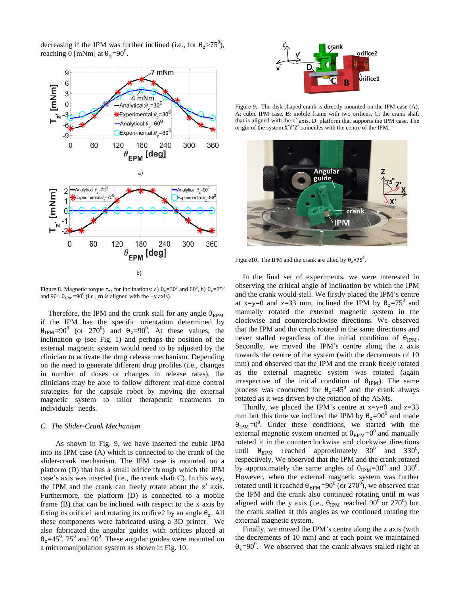decreasing if the IPM was further inclined (i.e., for  $\theta_{z} > 75^{\circ}$ ), reaching 0 [mNm] at  $\theta_z = 90^\circ$ .



crank orifice2  $\overline{\text{orifice1}}$ 

Figure 9**.** The disk-shaped crank is directly mounted on the IPM case (A). A: cubic IPM case, B: mobile frame with two orifices, C: the crank shaft that is aligned with the z′ axis, D: platform that supports the IPM case. The origin of the system X′Y′Z′ coincides with the centre of the IPM.



Figure10. The IPM and the crank are tilted by  $\theta_z = 75^\circ$ .

Figure 8. Magnetic torque  $\tau_{z}$ , for inclinations: a)  $\theta_z = 30^\circ$  and  $60^\circ$ , b)  $\theta_z = 75^\circ$ and 90<sup>0</sup>.  $\theta_{IPM}$ =90<sup>0</sup> (i.e., **m** is aligned with the +y axis).

Therefore, the IPM and the crank stall for any angle  $\theta_{EPM}$ if the IPM has the specific orientation determined by  $\theta_{IPM}$ =90<sup>0</sup> (or 270<sup>0</sup>) and  $\theta_z$ =90<sup>0</sup>. At these values, the inclination  $\varphi$  (see Fig. 1) and perhaps the position of the external magnetic system would need to be adjusted by the clinician to activate the drug release mechanism. Depending on the need to generate different drug profiles (i.e., changes in number of doses or changes in release rates), the clinicians may be able to follow different real-time control strategies for the capsule robot by moving the external magnetic system to tailor therapeutic treatments to individuals' needs.

#### *C. The Slider-Crank Mechanism*

As shown in Fig. 9, we have inserted the cubic IPM into its IPM case (A) which is connected to the crank of the slider-crank mechanism. The IPM case is mounted on a platform (D) that has a small orifice through which the IPM case's axis was inserted (i.e., the crank shaft C). In this way, the IPM and the crank can freely rotate about the z′ axis. Furthermore, the platform (D) is connected to a mobile frame (B) that can be inclined with respect to the x axis by fixing its orifice1 and rotating its orifice2 by an angle  $\theta_z$ . All these components were fabricated using a 3D printer. We also fabricated the angular guides with orifices placed at  $\theta$ <sub>z</sub>=45<sup>0</sup>, 75<sup>0</sup> and 90<sup>0</sup>. These angular guides were mounted on a micromanipulation system as shown in Fig. 10.

In the final set of experiments, we were interested in observing the critical angle of inclination by which the IPM and the crank would stall. We firstly placed the IPM's centre at x=y=0 and z=33 mm, inclined the IPM by  $\theta_z$ =75<sup>0</sup> and manually rotated the external magnetic system in the clockwise and counterclockwise directions. We observed that the IPM and the crank rotated in the same directions and never stalled regardless of the initial condition of  $\theta_{IPM}$ . Secondly, we moved the IPM's centre along the z axis towards the centre of the system (with the decrements of 10 mm) and observed that the IPM and the crank freely rotated as the external magnetic system was rotated (again irrespective of the initial condition of  $\theta_{IPM}$ ). The same process was conducted for  $\theta_z = 45^\circ$  and the crank always rotated as it was driven by the rotation of the ASMs.

Thirdly, we placed the IPM's centre at  $x=y=0$  and  $z=33$ mm but this time we inclined the IPM by  $\theta_z=90^\circ$  and made  $\theta_{IPM}$ =0<sup>0</sup>. Under these conditions, we started with the external magnetic system oriented at  $\theta_{\text{EPM}}$ =0<sup>0</sup> and manually rotated it in the counterclockwise and clockwise directions until  $\theta_{\text{EPM}}$  reached approximately 30<sup>0</sup> and 330<sup>0</sup>, respectively. We observed that the IPM and the crank rotated by approximately the same angles of  $\theta_{IPM}$ =30<sup>0</sup> and 330<sup>0</sup>. However, when the external magnetic system was further rotated until it reached  $\theta_{\text{EPM}} = 90^{\circ}$  (or 270<sup>0</sup>), we observed that the IPM and the crank also continued rotating until **m** was aligned with the y axis (i.e.,  $\theta_{IPM}$  reached  $90^{\circ}$  or  $270^{\circ}$ ) but the crank stalled at this angles as we continued rotating the external magnetic system.

Finally, we moved the IPM's centre along the z axis (with the decrements of 10 mm) and at each point we maintained  $\theta_z = 90^\circ$ . We observed that the crank always stalled right at